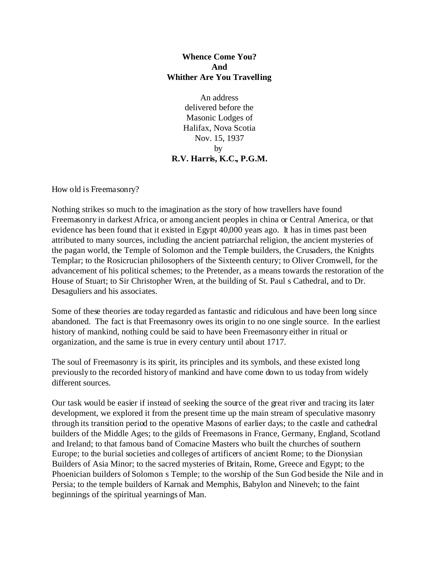## **Whence Come You? And Whither Are You Travelling**

An address delivered before the Masonic Lodges of Halifax, Nova Scotia Nov. 15, 1937 by **R.V. Harris, K.C., P.G.M.**

How old is Freemasonry?

Nothing strikes so much to the imagination as the story of how travellers have found Freemasonry in darkest Africa, or among ancient peoples in china or Central America, or that evidence has been found that it existed in Egypt 40,000 years ago. It has in times past been attributed to many sources, including the ancient patriarchal religion, the ancient mysteries of the pagan world, the Temple of Solomon and the Temple builders, the Crusaders, the Knights Templar; to the Rosicrucian philosophers of the Sixteenth century; to Oliver Cromwell, for the advancement of his political schemes; to the Pretender, as a means towards the restoration of the House of Stuart; to Sir Christopher Wren, at the building of St. Paul s Cathedral, and to Dr. Desaguliers and his associates.

Some of these theories are today regarded as fantastic and ridiculous and have been long since abandoned. The fact is that Freemasonry owes its origin to no one single source. In the earliest history of mankind, nothing could be said to have been Freemasonry either in ritual or organization, and the same is true in every century until about 1717.

The soul of Freemasonry is its spirit, its principles and its symbols, and these existed long previously to the recorded history of mankind and have come down to us today from widely different sources.

Our task would be easier if instead of seeking the source of the great river and tracing its later development, we explored it from the present time up the main stream of speculative masonry through its transition period to the operative Masons of earlier days; to the castle and cathedral builders of the Middle Ages; to the gilds of Freemasons in France, Germany, England, Scotland and Ireland; to that famous band of Comacine Masters who built the churches of southern Europe; to the burial societies and colleges of artificers of ancient Rome; to the Dionysian Builders of Asia Minor; to the sacred mysteries of Britain, Rome, Greece and Egypt; to the Phoenician builders of Solomon s Temple; to the worship of the Sun God beside the Nile and in Persia; to the temple builders of Karnak and Memphis, Babylon and Nineveh; to the faint beginnings of the spiritual yearnings of Man.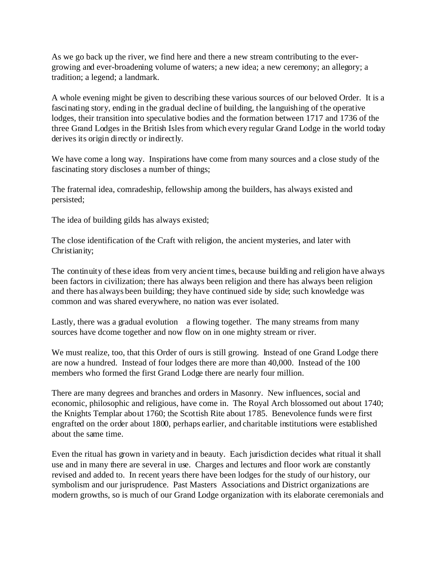As we go back up the river, we find here and there a new stream contributing to the evergrowing and ever-broadening volume of waters; a new idea; a new ceremony; an allegory; a tradition; a legend; a landmark.

A whole evening might be given to describing these various sources of our beloved Order. It is a fascinating story, ending in the gradual decline of building, the languishing of the operative lodges, their transition into speculative bodies and the formation between 1717 and 1736 of the three Grand Lodges in the British Isles from which every regular Grand Lodge in the world today derives its origin directly or indirectly.

We have come a long way. Inspirations have come from many sources and a close study of the fascinating story discloses a number of things;

The fraternal idea, comradeship, fellowship among the builders, has always existed and persisted;

The idea of building gilds has always existed;

The close identification of the Craft with religion, the ancient mysteries, and later with Christianity;

The continuity of these ideas from very ancient times, because building and religion have always been factors in civilization; there has always been religion and there has always been religion and there has always been building; they have continued side by side; such knowledge was common and was shared everywhere, no nation was ever isolated.

Lastly, there was a gradual evolution a flowing together. The many streams from many sources have dcome together and now flow on in one mighty stream or river.

We must realize, too, that this Order of ours is still growing. Instead of one Grand Lodge there are now a hundred. Instead of four lodges there are more than 40,000. Instead of the 100 members who formed the first Grand Lodge there are nearly four million.

There are many degrees and branches and orders in Masonry. New influences, social and economic, philosophic and religious, have come in. The Royal Arch blossomed out about 1740; the Knights Templar about 1760; the Scottish Rite about 1785. Benevolence funds were first engrafted on the order about 1800, perhaps earlier, and charitable institutions were established about the same time.

Even the ritual has grown in variety and in beauty. Each jurisdiction decides what ritual it shall use and in many there are several in use. Charges and lectures and floor work are constantly revised and added to. In recent years there have been lodges for the study of our history, our symbolism and our jurisprudence. Past Masters Associations and District organizations are modern growths, so is much of our Grand Lodge organization with its elaborate ceremonials and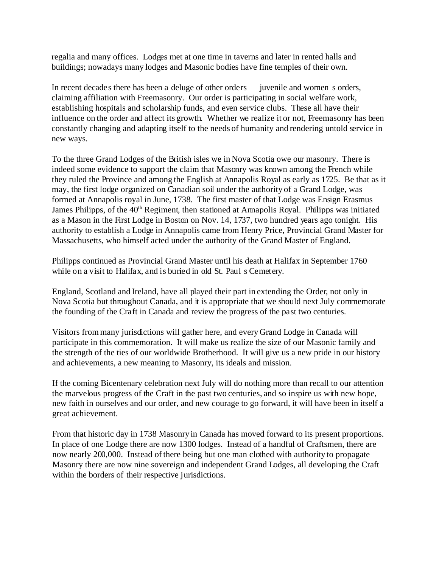regalia and many offices. Lodges met at one time in taverns and later in rented halls and buildings; nowadays many lodges and Masonic bodies have fine temples of their own.

In recent decades there has been a deluge of other orders inventile and women s orders, claiming affiliation with Freemasonry. Our order is participating in social welfare work, establishing hospitals and scholarship funds, and even service clubs. These all have their influence on the order and affect its growth. Whether we realize it or not, Freemasonry has been constantly changing and adapting itself to the needs of humanity and rendering untold service in new ways.

To the three Grand Lodges of the British isles we in Nova Scotia owe our masonry. There is indeed some evidence to support the claim that Masonry was known among the French while they ruled the Province and among the English at Annapolis Royal as early as 1725. Be that as it may, the first lodge organized on Canadian soil under the authority of a Grand Lodge, was formed at Annapolis royal in June, 1738. The first master of that Lodge was Ensign Erasmus James Philipps, of the 40<sup>th</sup> Regiment, then stationed at Annapolis Royal. Philipps was initiated as a Mason in the First Lodge in Boston on Nov. 14, 1737, two hundred years ago tonight. His authority to establish a Lodge in Annapolis came from Henry Price, Provincial Grand Master for Massachusetts, who himself acted under the authority of the Grand Master of England.

Philipps continued as Provincial Grand Master until his death at Halifax in September 1760 while on a visit to Halifax, and is buried in old St. Paul s Cemetery.

England, Scotland and Ireland, have all played their part in extending the Order, not only in Nova Scotia but throughout Canada, and it is appropriate that we should next July commemorate the founding of the Craft in Canada and review the progress of the past two centuries.

Visitors from many jurisdictions will gather here, and every Grand Lodge in Canada will participate in this commemoration. It will make us realize the size of our Masonic family and the strength of the ties of our worldwide Brotherhood. It will give us a new pride in our history and achievements, a new meaning to Masonry, its ideals and mission.

If the coming Bicentenary celebration next July will do nothing more than recall to our attention the marvelous progress of the Craft in the past two centuries, and so inspire us with new hope, new faith in ourselves and our order, and new courage to go forward, it will have been in itself a great achievement.

From that historic day in 1738 Masonry in Canada has moved forward to its present proportions. In place of one Lodge there are now 1300 lodges. Instead of a handful of Craftsmen, there are now nearly 200,000. Instead of there being but one man clothed with authority to propagate Masonry there are now nine sovereign and independent Grand Lodges, all developing the Craft within the borders of their respective jurisdictions.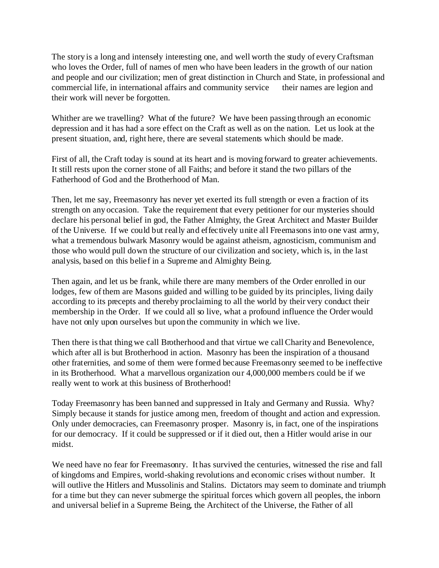The story is a long and intensely interesting one, and well worth the study of every Craftsman who loves the Order, full of names of men who have been leaders in the growth of our nation and people and our civilization; men of great distinction in Church and State, in professional and commercial life, in international affairs and community service their names are legion and their work will never be forgotten.

Whither are we travelling? What of the future? We have been passing through an economic depression and it has had a sore effect on the Craft as well as on the nation. Let us look at the present situation, and, right here, there are several statements which should be made.

First of all, the Craft today is sound at its heart and is moving forward to greater achievements. It still rests upon the corner stone of all Faiths; and before it stand the two pillars of the Fatherhood of God and the Brotherhood of Man.

Then, let me say, Freemasonry has never yet exerted its full strength or even a fraction of its strength on any occasion. Take the requirement that every petitioner for our mysteries should declare his personal belief in god, the Father Almighty, the Great Architect and Master Builder of the Universe. If we could but really and effectively unite all Freemasons into one vast army, what a tremendous bulwark Masonry would be against atheism, agnosticism, communism and those who would pull down the structure of our civilization and society, which is, in the last analysis, based on this belief in a Supreme and Almighty Being.

Then again, and let us be frank, while there are many members of the Order enrolled in our lodges, few of them are Masons guided and willing to be guided by its principles, living daily according to its precepts and thereby proclaiming to all the world by their very conduct their membership in the Order. If we could all so live, what a profound influence the Order would have not only upon ourselves but upon the community in which we live.

Then there is that thing we call Brotherhood and that virtue we call Charity and Benevolence, which after all is but Brotherhood in action. Masonry has been the inspiration of a thousand other fraternities, and some of them were formed because Freemasonry seemed to be ineffective in its Brotherhood. What a marvellous organization our 4,000,000 members could be if we really went to work at this business of Brotherhood!

Today Freemasonry has been banned and suppressed in Italy and Germany and Russia. Why? Simply because it stands for justice among men, freedom of thought and action and expression. Only under democracies, can Freemasonry prosper. Masonry is, in fact, one of the inspirations for our democracy. If it could be suppressed or if it died out, then a Hitler would arise in our midst.

We need have no fear for Freemasonry. It has survived the centuries, witnessed the rise and fall of kingdoms and Empires, world-shaking revolutions and economic crises without number. It will outlive the Hitlers and Mussolinis and Stalins. Dictators may seem to dominate and triumph for a time but they can never submerge the spiritual forces which govern all peoples, the inborn and universal belief in a Supreme Being, the Architect of the Universe, the Father of all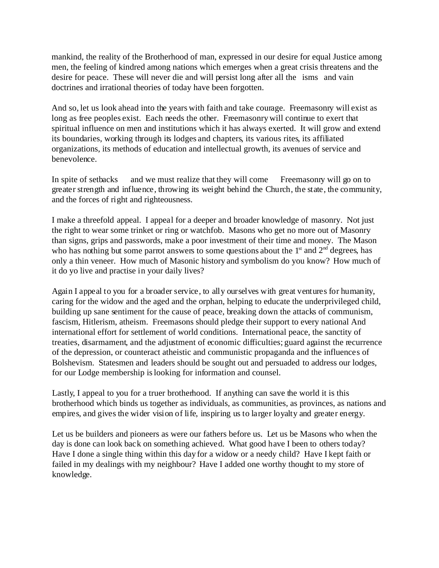mankind, the reality of the Brotherhood of man, expressed in our desire for equal Justice among men, the feeling of kindred among nations which emerges when a great crisis threatens and the desire for peace. These will never die and will persist long after all the isms and vain doctrines and irrational theories of today have been forgotten.

And so, let us look ahead into the years with faith and take courage. Freemasonry will exist as long as free peoples exist. Each needs the other. Freemasonry will continue to exert that spiritual influence on men and institutions which it has always exerted. It will grow and extend its boundaries, working through its lodges and chapters, its various rites, its affiliated organizations, its methods of education and intellectual growth, its avenues of service and benevolence.

In spite of setbacks and we must realize that they will come Freemasonry will go on to greater strength and influence, throwing its weight behind the Church, the state, the community, and the forces of right and righteousness.

I make a threefold appeal. I appeal for a deeper and broader knowledge of masonry. Not just the right to wear some trinket or ring or watchfob. Masons who get no more out of Masonry than signs, grips and passwords, make a poor investment of their time and money. The Mason who has nothing but some parrot answers to some questions about the  $1<sup>st</sup>$  and  $2<sup>nd</sup>$  degrees, has only a thin veneer. How much of Masonic history and symbolism do you know? How much of it do yo live and practise in your daily lives?

Again I appeal to you for a broader service, to ally ourselves with great ventures for humanity, caring for the widow and the aged and the orphan, helping to educate the underprivileged child, building up sane sentiment for the cause of peace, breaking down the attacks of communism, fascism, Hitlerism, atheism. Freemasons should pledge their support to every national And international effort for settlement of world conditions. International peace, the sanctity of treaties, disarmament, and the adjustment of economic difficulties; guard against the recurrence of the depression, or counteract atheistic and communistic propaganda and the influences of Bolshevism. Statesmen and leaders should be sought out and persuaded to address our lodges, for our Lodge membership is looking for information and counsel.

Lastly, I appeal to you for a truer brotherhood. If anything can save the world it is this brotherhood which binds us together as individuals, as communities, as provinces, as nations and empires, and gives the wider vision of life, inspiring us to larger loyalty and greater energy.

Let us be builders and pioneers as were our fathers before us. Let us be Masons who when the day is done can look back on something achieved. What good have I been to others today? Have I done a single thing within this day for a widow or a needy child? Have I kept faith or failed in my dealings with my neighbour? Have I added one worthy thought to my store of knowledge.